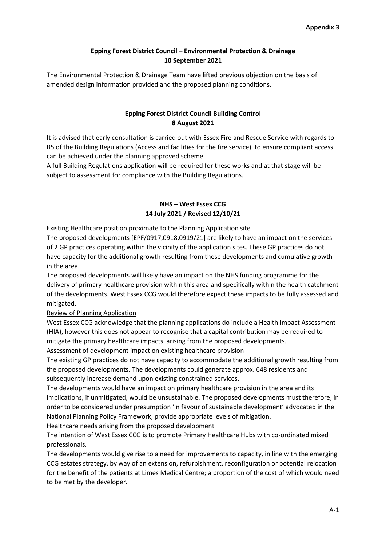## **Epping Forest District Council – Environmental Protection & Drainage 10 September 2021**

The Environmental Protection & Drainage Team have lifted previous objection on the basis of amended design information provided and the proposed planning conditions.

# **Epping Forest District Council Building Control 8 August 2021**

It is advised that early consultation is carried out with Essex Fire and Rescue Service with regards to B5 of the Building Regulations (Access and facilities for the fire service), to ensure compliant access can be achieved under the planning approved scheme.

A full Building Regulations application will be required for these works and at that stage will be subject to assessment for compliance with the Building Regulations.

# **NHS – West Essex CCG 14 July 2021 / Revised 12/10/21**

Existing Healthcare position proximate to the Planning Application site

The proposed developments [EPF/0917,0918,0919/21] are likely to have an impact on the services of 2 GP practices operating within the vicinity of the application sites. These GP practices do not have capacity for the additional growth resulting from these developments and cumulative growth in the area.

The proposed developments will likely have an impact on the NHS funding programme for the delivery of primary healthcare provision within this area and specifically within the health catchment of the developments. West Essex CCG would therefore expect these impacts to be fully assessed and mitigated.

## Review of Planning Application

West Essex CCG acknowledge that the planning applications do include a Health Impact Assessment (HIA), however this does not appear to recognise that a capital contribution may be required to mitigate the primary healthcare impacts arising from the proposed developments.

Assessment of development impact on existing healthcare provision

The existing GP practices do not have capacity to accommodate the additional growth resulting from the proposed developments. The developments could generate approx. 648 residents and subsequently increase demand upon existing constrained services.

The developments would have an impact on primary healthcare provision in the area and its implications, if unmitigated, would be unsustainable. The proposed developments must therefore, in order to be considered under presumption 'in favour of sustainable development' advocated in the National Planning Policy Framework, provide appropriate levels of mitigation.

Healthcare needs arising from the proposed development

The intention of West Essex CCG is to promote Primary Healthcare Hubs with co-ordinated mixed professionals.

The developments would give rise to a need for improvements to capacity, in line with the emerging CCG estates strategy, by way of an extension, refurbishment, reconfiguration or potential relocation for the benefit of the patients at Limes Medical Centre; a proportion of the cost of which would need to be met by the developer.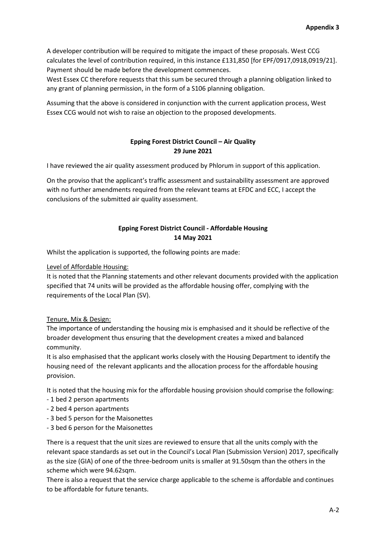A developer contribution will be required to mitigate the impact of these proposals. West CCG calculates the level of contribution required, in this instance £131,850 [for EPF/0917,0918,0919/21]. Payment should be made before the development commences.

West Essex CC therefore requests that this sum be secured through a planning obligation linked to any grant of planning permission, in the form of a S106 planning obligation.

Assuming that the above is considered in conjunction with the current application process, West Essex CCG would not wish to raise an objection to the proposed developments.

# **Epping Forest District Council – Air Quality 29 June 2021**

I have reviewed the air quality assessment produced by Phlorum in support of this application.

On the proviso that the applicant's traffic assessment and sustainability assessment are approved with no further amendments required from the relevant teams at EFDC and ECC, I accept the conclusions of the submitted air quality assessment.

# **Epping Forest District Council - Affordable Housing 14 May 2021**

Whilst the application is supported, the following points are made:

### Level of Affordable Housing:

It is noted that the Planning statements and other relevant documents provided with the application specified that 74 units will be provided as the affordable housing offer, complying with the requirements of the Local Plan (SV).

## Tenure, Mix & Design:

The importance of understanding the housing mix is emphasised and it should be reflective of the broader development thus ensuring that the development creates a mixed and balanced community.

It is also emphasised that the applicant works closely with the Housing Department to identify the housing need of the relevant applicants and the allocation process for the affordable housing provision.

It is noted that the housing mix for the affordable housing provision should comprise the following:

- 1 bed 2 person apartments
- 2 bed 4 person apartments
- 3 bed 5 person for the Maisonettes
- 3 bed 6 person for the Maisonettes

There is a request that the unit sizes are reviewed to ensure that all the units comply with the relevant space standards as set out in the Council's Local Plan (Submission Version) 2017, specifically as the size (GIA) of one of the three-bedroom units is smaller at 91.50sqm than the others in the scheme which were 94.62sqm.

There is also a request that the service charge applicable to the scheme is affordable and continues to be affordable for future tenants.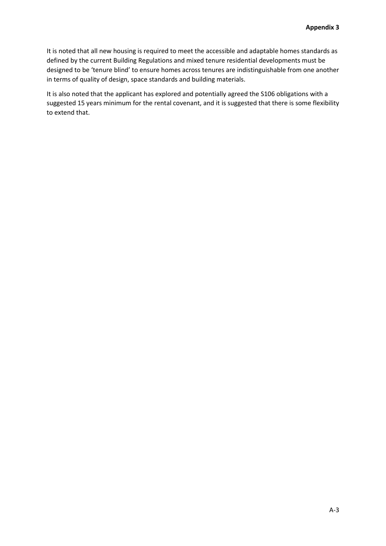It is noted that all new housing is required to meet the accessible and adaptable homes standards as defined by the current Building Regulations and mixed tenure residential developments must be designed to be 'tenure blind' to ensure homes across tenures are indistinguishable from one another in terms of quality of design, space standards and building materials.

It is also noted that the applicant has explored and potentially agreed the S106 obligations with a suggested 15 years minimum for the rental covenant, and it is suggested that there is some flexibility to extend that.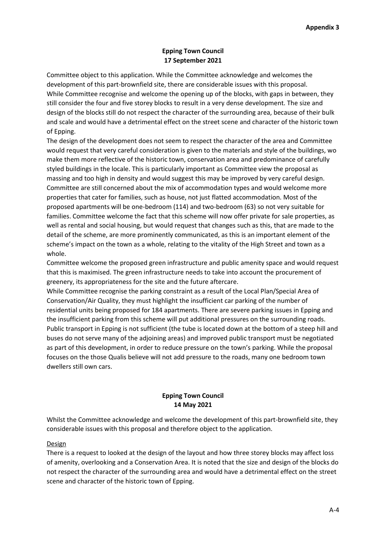## **Epping Town Council 17 September 2021**

Committee object to this application. While the Committee acknowledge and welcomes the development of this part-brownfield site, there are considerable issues with this proposal. While Committee recognise and welcome the opening up of the blocks, with gaps in between, they still consider the four and five storey blocks to result in a very dense development. The size and design of the blocks still do not respect the character of the surrounding area, because of their bulk and scale and would have a detrimental effect on the street scene and character of the historic town of Epping.

The design of the development does not seem to respect the character of the area and Committee would request that very careful consideration is given to the materials and style of the buildings, wo make them more reflective of the historic town, conservation area and predominance of carefully styled buildings in the locale. This is particularly important as Committee view the proposal as massing and too high in density and would suggest this may be improved by very careful design. Committee are still concerned about the mix of accommodation types and would welcome more properties that cater for families, such as house, not just flatted accommodation. Most of the proposed apartments will be one-bedroom (114) and two-bedroom (63) so not very suitable for families. Committee welcome the fact that this scheme will now offer private for sale properties, as well as rental and social housing, but would request that changes such as this, that are made to the detail of the scheme, are more prominently communicated, as this is an important element of the scheme's impact on the town as a whole, relating to the vitality of the High Street and town as a whole.

Committee welcome the proposed green infrastructure and public amenity space and would request that this is maximised. The green infrastructure needs to take into account the procurement of greenery, its appropriateness for the site and the future aftercare.

While Committee recognise the parking constraint as a result of the Local Plan/Special Area of Conservation/Air Quality, they must highlight the insufficient car parking of the number of residential units being proposed for 184 apartments. There are severe parking issues in Epping and the insufficient parking from this scheme will put additional pressures on the surrounding roads. Public transport in Epping is not sufficient (the tube is located down at the bottom of a steep hill and buses do not serve many of the adjoining areas) and improved public transport must be negotiated as part of this development, in order to reduce pressure on the town's parking. While the proposal focuses on the those Qualis believe will not add pressure to the roads, many one bedroom town dwellers still own cars.

# **Epping Town Council 14 May 2021**

Whilst the Committee acknowledge and welcome the development of this part-brownfield site, they considerable issues with this proposal and therefore object to the application.

## Design

There is a request to looked at the design of the layout and how three storey blocks may affect loss of amenity, overlooking and a Conservation Area. It is noted that the size and design of the blocks do not respect the character of the surrounding area and would have a detrimental effect on the street scene and character of the historic town of Epping.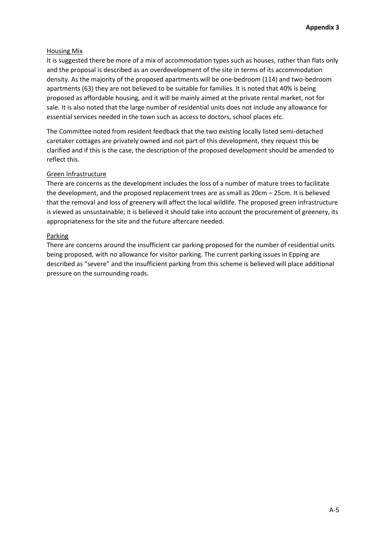### Housing Mix

It is suggested there be more of a mix of accommodation types such as houses, rather than flats only and the proposal is described as an overdevelopment of the site in terms of its accommodation density. As the majority of the proposed apartments will be one-bedroom (114) and two-bedroom apartments (63) they are not believed to be suitable for families. It is noted that 40% is being proposed as affordable housing, and it will be mainly aimed at the private rental market, not for sale. It is also noted that the large number of residential units does not include any allowance for essential services needed in the town such as access to doctors, school places etc.

The Committee noted from resident feedback that the two existing locally listed semi-detached caretaker cottages are privately owned and not part of this development, they request this be clarified and if this is the case, the description of the proposed development should be amended to reflect this.

### Green Infrastructure

There are concerns as the development includes the loss of a number of mature trees to facilitate the development, and the proposed replacement trees are as small as 20cm – 25cm. It is believed that the removal and loss of greenery will affect the local wildlife. The proposed green infrastructure is viewed as unsustainable; it is believed it should take into account the procurement of greenery, its appropriateness for the site and the future aftercare needed.

### Parking

There are concerns around the insufficient car parking proposed for the number of residential units being proposed, with no allowance for visitor parking. The current parking issues in Epping are described as "severe" and the insufficient parking from this scheme is believed will place additional pressure on the surrounding roads.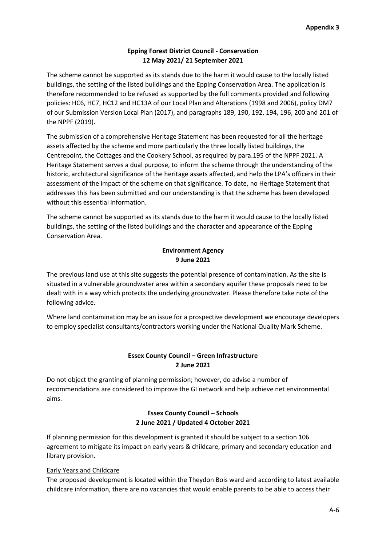## **Epping Forest District Council - Conservation 12 May 2021/ 21 September 2021**

The scheme cannot be supported as its stands due to the harm it would cause to the locally listed buildings, the setting of the listed buildings and the Epping Conservation Area. The application is therefore recommended to be refused as supported by the full comments provided and following policies: HC6, HC7, HC12 and HC13A of our Local Plan and Alterations (1998 and 2006), policy DM7 of our Submission Version Local Plan (2017), and paragraphs 189, 190, 192, 194, 196, 200 and 201 of the NPPF (2019).

The submission of a comprehensive Heritage Statement has been requested for all the heritage assets affected by the scheme and more particularly the three locally listed buildings, the Centrepoint, the Cottages and the Cookery School, as required by para.195 of the NPPF 2021. A Heritage Statement serves a dual purpose, to inform the scheme through the understanding of the historic, architectural significance of the heritage assets affected, and help the LPA's officers in their assessment of the impact of the scheme on that significance. To date, no Heritage Statement that addresses this has been submitted and our understanding is that the scheme has been developed without this essential information.

The scheme cannot be supported as its stands due to the harm it would cause to the locally listed buildings, the setting of the listed buildings and the character and appearance of the Epping Conservation Area.

## **Environment Agency 9 June 2021**

The previous land use at this site suggests the potential presence of contamination. As the site is situated in a vulnerable groundwater area within a secondary aquifer these proposals need to be dealt with in a way which protects the underlying groundwater. Please therefore take note of the following advice.

Where land contamination may be an issue for a prospective development we encourage developers to employ specialist consultants/contractors working under the National Quality Mark Scheme.

# **Essex County Council – Green Infrastructure 2 June 2021**

Do not object the granting of planning permission; however, do advise a number of recommendations are considered to improve the GI network and help achieve net environmental aims.

# **Essex County Council – Schools 2 June 2021 / Updated 4 October 2021**

If planning permission for this development is granted it should be subject to a section 106 agreement to mitigate its impact on early years & childcare, primary and secondary education and library provision.

## Early Years and Childcare

The proposed development is located within the Theydon Bois ward and according to latest available childcare information, there are no vacancies that would enable parents to be able to access their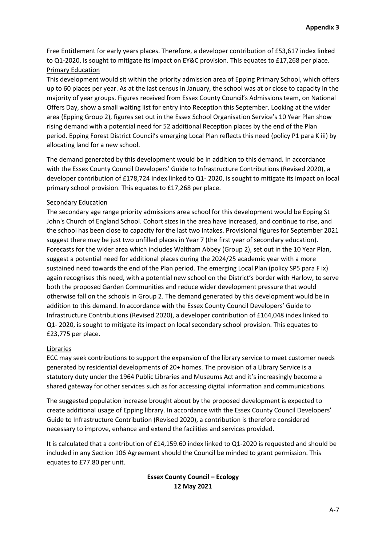Free Entitlement for early years places. Therefore, a developer contribution of £53,617 index linked to Q1-2020, is sought to mitigate its impact on EY&C provision. This equates to £17,268 per place. Primary Education

This development would sit within the priority admission area of Epping Primary School, which offers up to 60 places per year. As at the last census in January, the school was at or close to capacity in the majority of year groups. Figures received from Essex County Council's Admissions team, on National Offers Day, show a small waiting list for entry into Reception this September. Looking at the wider area (Epping Group 2), figures set out in the Essex School Organisation Service's 10 Year Plan show rising demand with a potential need for 52 additional Reception places by the end of the Plan period. Epping Forest District Council's emerging Local Plan reflects this need (policy P1 para K iii) by allocating land for a new school.

The demand generated by this development would be in addition to this demand. In accordance with the Essex County Council Developers' Guide to Infrastructure Contributions (Revised 2020), a developer contribution of £178,724 index linked to Q1- 2020, is sought to mitigate its impact on local primary school provision. This equates to £17,268 per place.

## Secondary Education

The secondary age range priority admissions area school for this development would be Epping St John's Church of England School. Cohort sizes in the area have increased, and continue to rise, and the school has been close to capacity for the last two intakes. Provisional figures for September 2021 suggest there may be just two unfilled places in Year 7 (the first year of secondary education). Forecasts for the wider area which includes Waltham Abbey (Group 2), set out in the 10 Year Plan, suggest a potential need for additional places during the 2024/25 academic year with a more sustained need towards the end of the Plan period. The emerging Local Plan (policy SP5 para F ix) again recognises this need, with a potential new school on the District's border with Harlow, to serve both the proposed Garden Communities and reduce wider development pressure that would otherwise fall on the schools in Group 2. The demand generated by this development would be in addition to this demand. In accordance with the Essex County Council Developers' Guide to Infrastructure Contributions (Revised 2020), a developer contribution of £164,048 index linked to Q1- 2020, is sought to mitigate its impact on local secondary school provision. This equates to £23,775 per place.

#### Libraries

ECC may seek contributions to support the expansion of the library service to meet customer needs generated by residential developments of 20+ homes. The provision of a Library Service is a statutory duty under the 1964 Public Libraries and Museums Act and it's increasingly become a shared gateway for other services such as for accessing digital information and communications.

The suggested population increase brought about by the proposed development is expected to create additional usage of Epping library. In accordance with the Essex County Council Developers' Guide to Infrastructure Contribution (Revised 2020), a contribution is therefore considered necessary to improve, enhance and extend the facilities and services provided.

It is calculated that a contribution of £14,159.60 index linked to Q1-2020 is requested and should be included in any Section 106 Agreement should the Council be minded to grant permission. This equates to £77.80 per unit.

# **Essex County Council – Ecology 12 May 2021**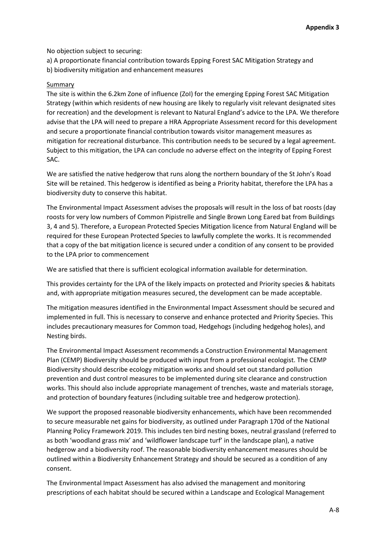No objection subject to securing:

a) A proportionate financial contribution towards Epping Forest SAC Mitigation Strategy and b) biodiversity mitigation and enhancement measures

#### Summary

The site is within the 6.2km Zone of influence (ZoI) for the emerging Epping Forest SAC Mitigation Strategy (within which residents of new housing are likely to regularly visit relevant designated sites for recreation) and the development is relevant to Natural England's advice to the LPA. We therefore advise that the LPA will need to prepare a HRA Appropriate Assessment record for this development and secure a proportionate financial contribution towards visitor management measures as mitigation for recreational disturbance. This contribution needs to be secured by a legal agreement. Subject to this mitigation, the LPA can conclude no adverse effect on the integrity of Epping Forest SAC.

We are satisfied the native hedgerow that runs along the northern boundary of the St John's Road Site will be retained. This hedgerow is identified as being a Priority habitat, therefore the LPA has a biodiversity duty to conserve this habitat.

The Environmental Impact Assessment advises the proposals will result in the loss of bat roosts (day roosts for very low numbers of Common Pipistrelle and Single Brown Long Eared bat from Buildings 3, 4 and 5). Therefore, a European Protected Species Mitigation licence from Natural England will be required for these European Protected Species to lawfully complete the works. It is recommended that a copy of the bat mitigation licence is secured under a condition of any consent to be provided to the LPA prior to commencement

We are satisfied that there is sufficient ecological information available for determination.

This provides certainty for the LPA of the likely impacts on protected and Priority species & habitats and, with appropriate mitigation measures secured, the development can be made acceptable.

The mitigation measures identified in the Environmental Impact Assessment should be secured and implemented in full. This is necessary to conserve and enhance protected and Priority Species. This includes precautionary measures for Common toad, Hedgehogs (including hedgehog holes), and Nesting birds.

The Environmental Impact Assessment recommends a Construction Environmental Management Plan (CEMP) Biodiversity should be produced with input from a professional ecologist. The CEMP Biodiversity should describe ecology mitigation works and should set out standard pollution prevention and dust control measures to be implemented during site clearance and construction works. This should also include appropriate management of trenches, waste and materials storage, and protection of boundary features (including suitable tree and hedgerow protection).

We support the proposed reasonable biodiversity enhancements, which have been recommended to secure measurable net gains for biodiversity, as outlined under Paragraph 170d of the National Planning Policy Framework 2019. This includes ten bird nesting boxes, neutral grassland (referred to as both 'woodland grass mix' and 'wildflower landscape turf' in the landscape plan), a native hedgerow and a biodiversity roof. The reasonable biodiversity enhancement measures should be outlined within a Biodiversity Enhancement Strategy and should be secured as a condition of any consent.

The Environmental Impact Assessment has also advised the management and monitoring prescriptions of each habitat should be secured within a Landscape and Ecological Management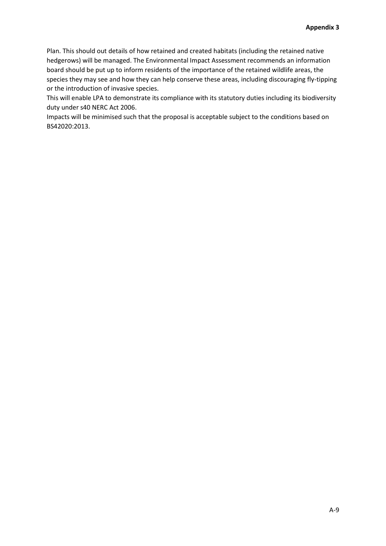Plan. This should out details of how retained and created habitats (including the retained native hedgerows) will be managed. The Environmental Impact Assessment recommends an information board should be put up to inform residents of the importance of the retained wildlife areas, the species they may see and how they can help conserve these areas, including discouraging fly-tipping or the introduction of invasive species.

This will enable LPA to demonstrate its compliance with its statutory duties including its biodiversity duty under s40 NERC Act 2006.

Impacts will be minimised such that the proposal is acceptable subject to the conditions based on BS42020:2013.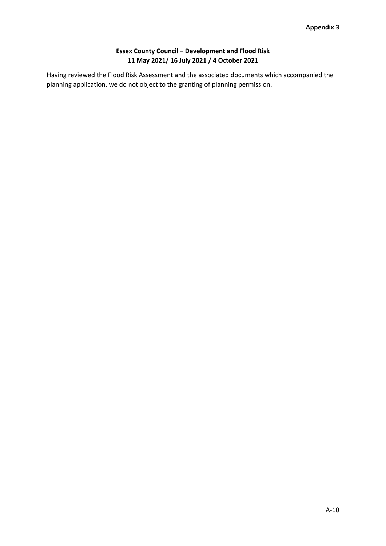# **Essex County Council – Development and Flood Risk 11 May 2021/ 16 July 2021 / 4 October 2021**

Having reviewed the Flood Risk Assessment and the associated documents which accompanied the planning application, we do not object to the granting of planning permission.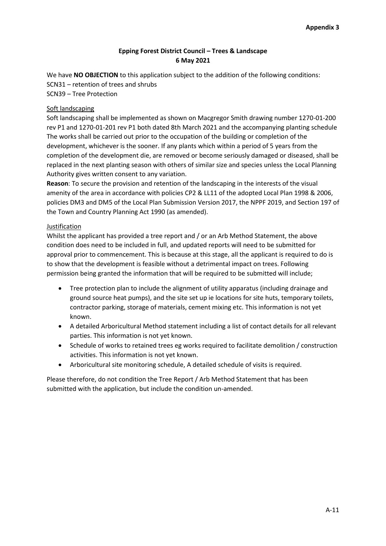# **Epping Forest District Council – Trees & Landscape 6 May 2021**

We have **NO OBJECTION** to this application subject to the addition of the following conditions: SCN31 – retention of trees and shrubs SCN39 – Tree Protection

## Soft landscaping

Soft landscaping shall be implemented as shown on Macgregor Smith drawing number 1270-01-200 rev P1 and 1270-01-201 rev P1 both dated 8th March 2021 and the accompanying planting schedule The works shall be carried out prior to the occupation of the building or completion of the development, whichever is the sooner. If any plants which within a period of 5 years from the completion of the development die, are removed or become seriously damaged or diseased, shall be replaced in the next planting season with others of similar size and species unless the Local Planning Authority gives written consent to any variation.

**Reason**: To secure the provision and retention of the landscaping in the interests of the visual amenity of the area in accordance with policies CP2 & LL11 of the adopted Local Plan 1998 & 2006, policies DM3 and DM5 of the Local Plan Submission Version 2017, the NPPF 2019, and Section 197 of the Town and Country Planning Act 1990 (as amended).

### Justification

Whilst the applicant has provided a tree report and / or an Arb Method Statement, the above condition does need to be included in full, and updated reports will need to be submitted for approval prior to commencement. This is because at this stage, all the applicant is required to do is to show that the development is feasible without a detrimental impact on trees. Following permission being granted the information that will be required to be submitted will include;

- Tree protection plan to include the alignment of utility apparatus (including drainage and ground source heat pumps), and the site set up ie locations for site huts, temporary toilets, contractor parking, storage of materials, cement mixing etc. This information is not yet known.
- A detailed Arboricultural Method statement including a list of contact details for all relevant parties. This information is not yet known.
- Schedule of works to retained trees eg works required to facilitate demolition / construction activities. This information is not yet known.
- Arboricultural site monitoring schedule, A detailed schedule of visits is required.

Please therefore, do not condition the Tree Report / Arb Method Statement that has been submitted with the application, but include the condition un-amended.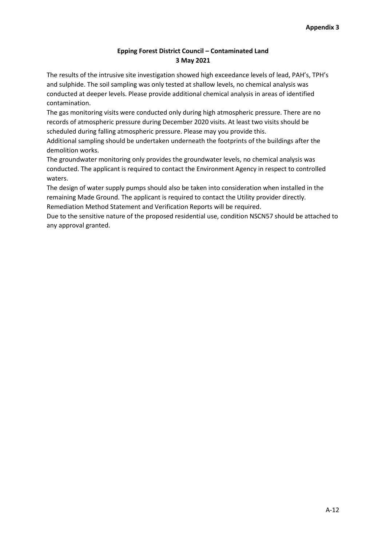## **Epping Forest District Council – Contaminated Land 3 May 2021**

The results of the intrusive site investigation showed high exceedance levels of lead, PAH's, TPH's and sulphide. The soil sampling was only tested at shallow levels, no chemical analysis was conducted at deeper levels. Please provide additional chemical analysis in areas of identified contamination.

The gas monitoring visits were conducted only during high atmospheric pressure. There are no records of atmospheric pressure during December 2020 visits. At least two visits should be scheduled during falling atmospheric pressure. Please may you provide this.

Additional sampling should be undertaken underneath the footprints of the buildings after the demolition works.

The groundwater monitoring only provides the groundwater levels, no chemical analysis was conducted. The applicant is required to contact the Environment Agency in respect to controlled waters.

The design of water supply pumps should also be taken into consideration when installed in the remaining Made Ground. The applicant is required to contact the Utility provider directly.

Remediation Method Statement and Verification Reports will be required.

Due to the sensitive nature of the proposed residential use, condition NSCN57 should be attached to any approval granted.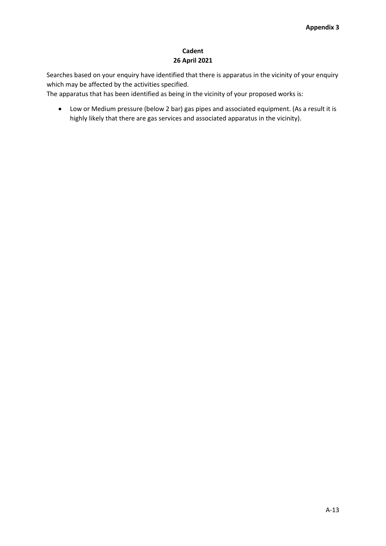# **Cadent 26 April 2021**

Searches based on your enquiry have identified that there is apparatus in the vicinity of your enquiry which may be affected by the activities specified.

The apparatus that has been identified as being in the vicinity of your proposed works is:

 Low or Medium pressure (below 2 bar) gas pipes and associated equipment. (As a result it is highly likely that there are gas services and associated apparatus in the vicinity).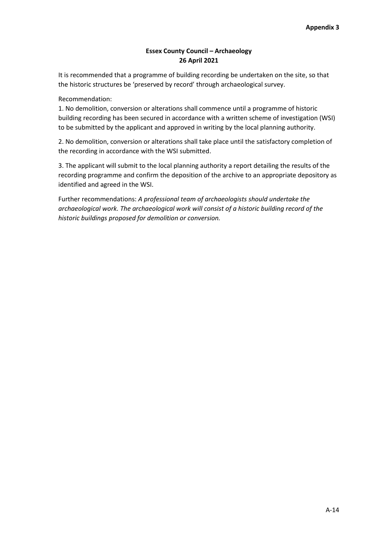## **Essex County Council – Archaeology 26 April 2021**

It is recommended that a programme of building recording be undertaken on the site, so that the historic structures be 'preserved by record' through archaeological survey.

Recommendation:

1. No demolition, conversion or alterations shall commence until a programme of historic building recording has been secured in accordance with a written scheme of investigation (WSI) to be submitted by the applicant and approved in writing by the local planning authority.

2. No demolition, conversion or alterations shall take place until the satisfactory completion of the recording in accordance with the WSI submitted.

3. The applicant will submit to the local planning authority a report detailing the results of the recording programme and confirm the deposition of the archive to an appropriate depository as identified and agreed in the WSI.

Further recommendations: *A professional team of archaeologists should undertake the archaeological work. The archaeological work will consist of a historic building record of the historic buildings proposed for demolition or conversion.*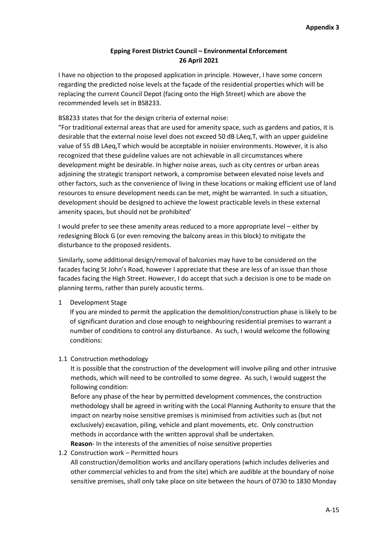## **Epping Forest District Council – Environmental Enforcement 26 April 2021**

I have no objection to the proposed application in principle. However, I have some concern regarding the predicted noise levels at the façade of the residential properties which will be replacing the current Council Depot (facing onto the High Street) which are above the recommended levels set in BS8233.

### BS8233 states that for the design criteria of external noise:

"For traditional external areas that are used for amenity space, such as gardens and patios, it is desirable that the external noise level does not exceed 50 dB LAeq,T, with an upper guideline value of 55 dB LAeq,T which would be acceptable in noisier environments. However, it is also recognized that these guideline values are not achievable in all circumstances where development might be desirable. In higher noise areas, such as city centres or urban areas adjoining the strategic transport network, a compromise between elevated noise levels and other factors, such as the convenience of living in these locations or making efficient use of land resources to ensure development needs can be met, might be warranted. In such a situation, development should be designed to achieve the lowest practicable levels in these external amenity spaces, but should not be prohibited'

I would prefer to see these amenity areas reduced to a more appropriate level – either by redesigning Block G (or even removing the balcony areas in this block) to mitigate the disturbance to the proposed residents.

Similarly, some additional design/removal of balconies may have to be considered on the facades facing St John's Road, however I appreciate that these are less of an issue than those facades facing the High Street. However, I do accept that such a decision is one to be made on planning terms, rather than purely acoustic terms.

#### 1 Development Stage

If you are minded to permit the application the demolition/construction phase is likely to be of significant duration and close enough to neighbouring residential premises to warrant a number of conditions to control any disturbance. As such, I would welcome the following conditions:

#### 1.1 Construction methodology

It is possible that the construction of the development will involve piling and other intrusive methods, which will need to be controlled to some degree. As such, I would suggest the following condition:

Before any phase of the hear by permitted development commences, the construction methodology shall be agreed in writing with the Local Planning Authority to ensure that the impact on nearby noise sensitive premises is minimised from activities such as (but not exclusively) excavation, piling, vehicle and plant movements, etc. Only construction methods in accordance with the written approval shall be undertaken. **Reason**- In the interests of the amenities of noise sensitive properties

## 1.2 Construction work – Permitted hours

All construction/demolition works and ancillary operations (which includes deliveries and other commercial vehicles to and from the site) which are audible at the boundary of noise sensitive premises, shall only take place on site between the hours of 0730 to 1830 Monday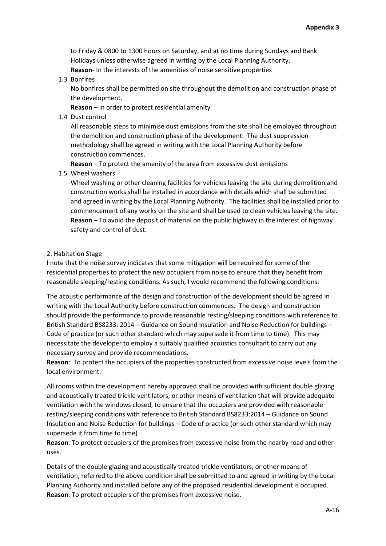to Friday & 0800 to 1300 hours on Saturday, and at no time during Sundays and Bank Holidays unless otherwise agreed in writing by the Local Planning Authority.

**Reason**- In the interests of the amenities of noise sensitive properties

#### 1.3 Bonfires

No bonfires shall be permitted on site throughout the demolition and construction phase of the development.

**Reason** – In order to protect residential amenity

1.4 Dust control

All reasonable steps to minimise dust emissions from the site shall be employed throughout the demolition and construction phase of the development. The dust suppression methodology shall be agreed in writing with the Local Planning Authority before construction commences.

**Reason** – To protect the amenity of the area from excessive dust emissions

1.5 Wheel washers

Wheel washing or other cleaning facilities for vehicles leaving the site during demolition and construction works shall be installed in accordance with details which shall be submitted and agreed in writing by the Local Planning Authority. The facilities shall be installed prior to commencement of any works on the site and shall be used to clean vehicles leaving the site. **Reason** – To avoid the deposit of material on the public highway in the interest of highway safety and control of dust.

#### 2. Habitation Stage

I note that the noise survey indicates that some mitigation will be required for some of the residential properties to protect the new occupiers from noise to ensure that they benefit from reasonable sleeping/resting conditions. As such, I would recommend the following conditions:

The acoustic performance of the design and construction of the development should be agreed in writing with the Local Authority before construction commences. The design and construction should provide the performance to provide reasonable resting/sleeping conditions with reference to British Standard BS8233: 2014 – Guidance on Sound Insulation and Noise Reduction for buildings – Code of practice (or such other standard which may supersede it from time to time). This may necessitate the developer to employ a suitably qualified acoustics consultant to carry out any necessary survey and provide recommendations.

**Reason**: To protect the occupiers of the properties constructed from excessive noise levels from the local environment.

All rooms within the development hereby approved shall be provided with sufficient double glazing and acoustically treated trickle ventilators, or other means of ventilation that will provide adequate ventilation with the windows closed, to ensure that the occupiers are provided with reasonable resting/sleeping conditions with reference to British Standard BS8233:2014 – Guidance on Sound Insulation and Noise Reduction for buildings – Code of practice (or such other standard which may supersede it from time to time)

**Reason**: To protect occupiers of the premises from excessive noise from the nearby road and other uses.

Details of the double glazing and acoustically treated trickle ventilators, or other means of ventilation, referred to the above condition shall be submitted to and agreed in writing by the Local Planning Authority and installed before any of the proposed residential development is occupied. **Reason**: To protect occupiers of the premises from excessive noise.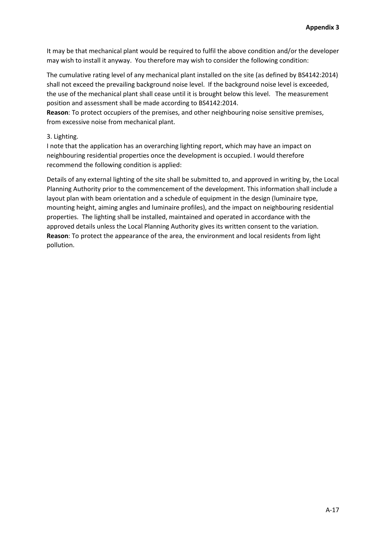It may be that mechanical plant would be required to fulfil the above condition and/or the developer may wish to install it anyway. You therefore may wish to consider the following condition:

The cumulative rating level of any mechanical plant installed on the site (as defined by BS4142:2014) shall not exceed the prevailing background noise level. If the background noise level is exceeded, the use of the mechanical plant shall cease until it is brought below this level. The measurement position and assessment shall be made according to BS4142:2014.

**Reason**: To protect occupiers of the premises, and other neighbouring noise sensitive premises, from excessive noise from mechanical plant.

### 3. Lighting.

I note that the application has an overarching lighting report, which may have an impact on neighbouring residential properties once the development is occupied. I would therefore recommend the following condition is applied:

Details of any external lighting of the site shall be submitted to, and approved in writing by, the Local Planning Authority prior to the commencement of the development. This information shall include a layout plan with beam orientation and a schedule of equipment in the design (luminaire type, mounting height, aiming angles and luminaire profiles), and the impact on neighbouring residential properties. The lighting shall be installed, maintained and operated in accordance with the approved details unless the Local Planning Authority gives its written consent to the variation. **Reason**: To protect the appearance of the area, the environment and local residents from light pollution.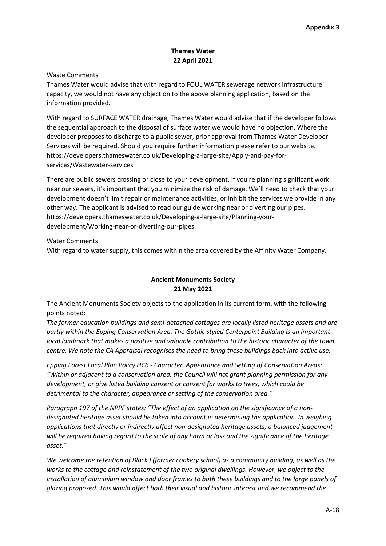## **Thames Water 22 April 2021**

### Waste Comments

Thames Water would advise that with regard to FOUL WATER sewerage network infrastructure capacity, we would not have any objection to the above planning application, based on the information provided.

With regard to SURFACE WATER drainage, Thames Water would advise that if the developer follows the sequential approach to the disposal of surface water we would have no objection. Where the developer proposes to discharge to a public sewer, prior approval from Thames Water Developer Services will be required. Should you require further information please refer to our website. https://developers.thameswater.co.uk/Developing-a-large-site/Apply-and-pay-forservices/Wastewater-services

There are public sewers crossing or close to your development. If you're planning significant work near our sewers, it's important that you minimize the risk of damage. We'll need to check that your development doesn't limit repair or maintenance activities, or inhibit the services we provide in any other way. The applicant is advised to read our guide working near or diverting our pipes. https://developers.thameswater.co.uk/Developing-a-large-site/Planning-yourdevelopment/Working-near-or-diverting-our-pipes.

### Water Comments

With regard to water supply, this comes within the area covered by the Affinity Water Company.

# **Ancient Monuments Society 21 May 2021**

The Ancient Monuments Society objects to the application in its current form, with the following points noted:

*The former education buildings and semi-detached cottages are locally listed heritage assets and are partly within the Epping Conservation Area. The Gothic styled Centerpoint Building is an important local landmark that makes a positive and valuable contribution to the historic character of the town centre. We note the CA Appraisal recognises the need to bring these buildings back into active use.*

*Epping Forest Local Plan Policy HC6 - Character, Appearance and Setting of Conservation Areas: "Within or adjacent to a conservation area, the Council will not grant planning permission for any development, or give listed building consent or consent for works to trees, which could be detrimental to the character, appearance or setting of the conservation area."*

Paragraph 197 of the NPPF states: "The effect of an application on the significance of a non*designated heritage asset should be taken into account in determining the application. In weighing applications that directly or indirectly affect non-designated heritage assets, a balanced judgement will be required having regard to the scale of any harm or loss and the significance of the heritage asset."*

*We welcome the retention of Block I (former cookery school) as a community building, as well as the works to the cottage and reinstatement of the two original dwellings. However, we object to the installation of aluminium window and door frames to both these buildings and to the large panels of glazing proposed. This would affect both their visual and historic interest and we recommend the*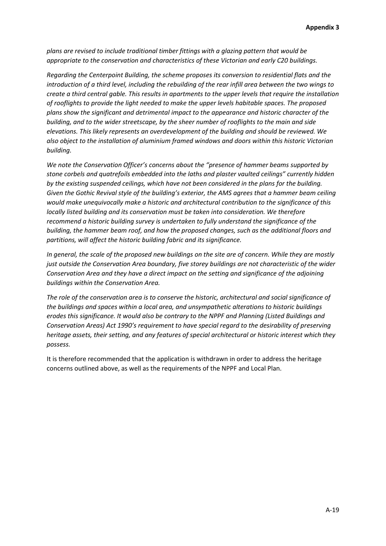*plans are revised to include traditional timber fittings with a glazing pattern that would be appropriate to the conservation and characteristics of these Victorian and early C20 buildings.* 

*Regarding the Centerpoint Building, the scheme proposes its conversion to residential flats and the introduction of a third level, including the rebuilding of the rear infill area between the two wings to create a third central gable. This results in apartments to the upper levels that require the installation of rooflights to provide the light needed to make the upper levels habitable spaces. The proposed plans show the significant and detrimental impact to the appearance and historic character of the building, and to the wider streetscape, by the sheer number of rooflights to the main and side elevations. This likely represents an overdevelopment of the building and should be reviewed. We also object to the installation of aluminium framed windows and doors within this historic Victorian building.* 

*We note the Conservation Officer's concerns about the "presence of hammer beams supported by stone corbels and quatrefoils embedded into the laths and plaster vaulted ceilings" currently hidden by the existing suspended ceilings, which have not been considered in the plans for the building. Given the Gothic Revival style of the building's exterior, the AMS agrees that a hammer beam ceiling would make unequivocally make a historic and architectural contribution to the significance of this locally listed building and its conservation must be taken into consideration. We therefore recommend a historic building survey is undertaken to fully understand the significance of the building, the hammer beam roof, and how the proposed changes, such as the additional floors and partitions, will affect the historic building fabric and its significance.* 

*In general, the scale of the proposed new buildings on the site are of concern. While they are mostly just outside the Conservation Area boundary, five storey buildings are not characteristic of the wider Conservation Area and they have a direct impact on the setting and significance of the adjoining buildings within the Conservation Area.* 

*The role of the conservation area is to conserve the historic, architectural and social significance of the buildings and spaces within a local area, and unsympathetic alterations to historic buildings erodes this significance. It would also be contrary to the NPPF and Planning (Listed Buildings and Conservation Areas) Act 1990's requirement to have special regard to the desirability of preserving heritage assets, their setting, and any features of special architectural or historic interest which they possess.*

It is therefore recommended that the application is withdrawn in order to address the heritage concerns outlined above, as well as the requirements of the NPPF and Local Plan.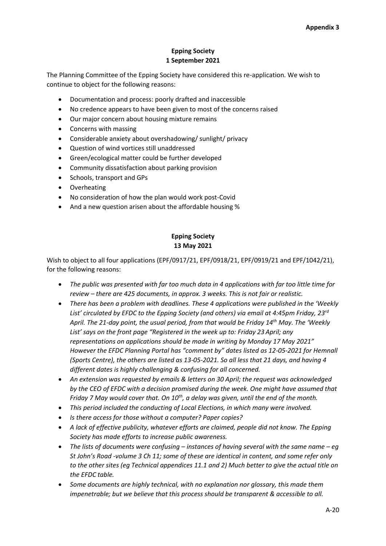## **Epping Society 1 September 2021**

The Planning Committee of the Epping Society have considered this re-application. We wish to continue to object for the following reasons:

- Documentation and process: poorly drafted and inaccessible
- No credence appears to have been given to most of the concerns raised
- Our major concern about housing mixture remains
- Concerns with massing
- Considerable anxiety about overshadowing/ sunlight/ privacy
- Question of wind vortices still unaddressed
- Green/ecological matter could be further developed
- Community dissatisfaction about parking provision
- Schools, transport and GPs
- Overheating
- No consideration of how the plan would work post-Covid
- And a new question arisen about the affordable housing %

# **Epping Society 13 May 2021**

Wish to object to all four applications (EPF/0917/21, EPF/0918/21, EPF/0919/21 and EPF/1042/21), for the following reasons:

- *The public was presented with far too much data in 4 applications with far too little time for review – there are 425 documents, in approx. 3 weeks. This is not fair or realistic.*
- *There has been a problem with deadlines. These 4 applications were published in the 'Weekly List' circulated by EFDC to the Epping Society (and others) via email at 4:45pm Friday, 23rd April. The 21-day point, the usual period, from that would be Friday 14th May. The 'Weekly List' says on the front page "Registered in the week up to: Friday 23 April; any representations on applications should be made in writing by Monday 17 May 2021" However the EFDC Planning Portal has "comment by" dates listed as 12-05-2021 for Hemnall (Sports Centre), the others are listed as 13-05-2021. So all less that 21 days, and having 4 different dates is highly challenging & confusing for all concerned.*
- *An extension was requested by emails & letters on 30 April; the request was acknowledged by the CEO of EFDC with a decision promised during the week. One might have assumed that Friday 7 May would cover that. On 10th, a delay was given, until the end of the month.*
- *This period included the conducting of Local Elections, in which many were involved.*
- *Is there access for those without a computer? Paper copies?*
- *A lack of effective publicity, whatever efforts are claimed, people did not know. The Epping Society has made efforts to increase public awareness.*
- *The lists of documents were confusing – instances of having several with the same name – eg St John's Road -volume 3 Ch 11; some of these are identical in content, and some refer only to the other sites (eg Technical appendices 11.1 and 2) Much better to give the actual title on the EFDC table.*
- *Some documents are highly technical, with no explanation nor glossary, this made them impenetrable; but we believe that this process should be transparent & accessible to all.*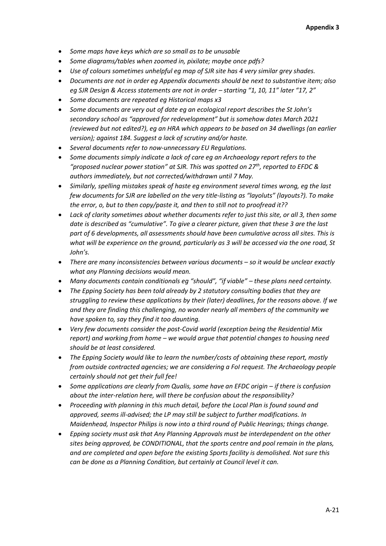- *Some maps have keys which are so small as to be unusable*
- *Some diagrams/tables when zoomed in, pixilate; maybe once pdfs?*
- *Use of colours sometimes unhelpful eg map of SJR site has 4 very similar grey shades.*
- *Documents are not in order eg Appendix documents should be next to substantive item; also eg SJR Design & Access statements are not in order – starting "1, 10, 11" later "17, 2"*
- *Some documents are repeated eg Historical maps x3*
- *Some documents are very out of date eg an ecological report describes the St John's secondary school as "approved for redevelopment" but is somehow dates March 2021 (reviewed but not edited?), eg an HRA which appears to be based on 34 dwellings (an earlier version); against 184. Suggest a lack of scrutiny and/or haste.*
- *Several documents refer to now-unnecessary EU Regulations.*
- *Some documents simply indicate a lack of care eg an Archaeology report refers to the "proposed nuclear power station" at SJR. This was spotted on 27th, reported to EFDC & authors immediately, but not corrected/withdrawn until 7 May.*
- *Similarly, spelling mistakes speak of haste eg environment several times wrong, eg the last few documents for SJR are labelled on the very title-listing as "layoluts" (layouts?). To make the error, o, but to then copy/paste it, and then to still not to proofread it??*
- *Lack of clarity sometimes about whether documents refer to just this site, or all 3, then some date is described as "cumulative". To give a clearer picture, given that these 3 are the last part of 6 developments, all assessments should have been cumulative across all sites. This is what will be experience on the ground, particularly as 3 will be accessed via the one road, St John's.*
- *There are many inconsistencies between various documents – so it would be unclear exactly what any Planning decisions would mean.*
- *Many documents contain conditionals eg "should", "if viable" – these plans need certainty.*
- *The Epping Society has been told already by 2 statutory consulting bodies that they are struggling to review these applications by their (later) deadlines, for the reasons above. If we and they are finding this challenging, no wonder nearly all members of the community we have spoken to, say they find it too daunting.*
- *Very few documents consider the post-Covid world (exception being the Residential Mix report) and working from home – we would argue that potential changes to housing need should be at least considered.*
- *The Epping Society would like to learn the number/costs of obtaining these report, mostly from outside contracted agencies; we are considering a FoI request. The Archaeology people certainly should not get their full fee!*
- Some applications are clearly from Qualis, some have an EFDC origin if there is confusion *about the inter-relation here, will there be confusion about the responsibility?*
- *Proceeding with planning in this much detail, before the Local Plan is found sound and approved, seems ill-advised; the LP may still be subject to further modifications. In Maidenhead, Inspector Philips is now into a third round of Public Hearings; things change.*
- *Epping society must ask that Any Planning Approvals must be interdependent on the other sites being approved, be CONDITIONAL, that the sports centre and pool remain in the plans, and are completed and open before the existing Sports facility is demolished. Not sure this can be done as a Planning Condition, but certainly at Council level it can.*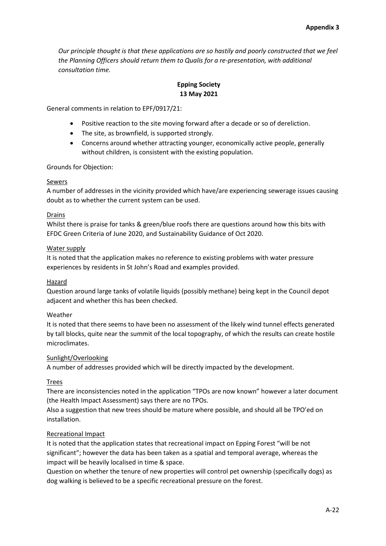*Our principle thought is that these applications are so hastily and poorly constructed that we feel the Planning Officers should return them to Qualis for a re-presentation, with additional consultation time.* 

# **Epping Society 13 May 2021**

General comments in relation to EPF/0917/21:

- Positive reaction to the site moving forward after a decade or so of dereliction.
- The site, as brownfield, is supported strongly.
- Concerns around whether attracting younger, economically active people, generally without children, is consistent with the existing population.

### Grounds for Objection:

### Sewers

A number of addresses in the vicinity provided which have/are experiencing sewerage issues causing doubt as to whether the current system can be used.

### Drains

Whilst there is praise for tanks & green/blue roofs there are questions around how this bits with EFDC Green Criteria of June 2020, and Sustainability Guidance of Oct 2020.

### Water supply

It is noted that the application makes no reference to existing problems with water pressure experiences by residents in St John's Road and examples provided.

## Hazard

Question around large tanks of volatile liquids (possibly methane) being kept in the Council depot adjacent and whether this has been checked.

## Weather

It is noted that there seems to have been no assessment of the likely wind tunnel effects generated by tall blocks, quite near the summit of the local topography, of which the results can create hostile microclimates.

#### Sunlight/Overlooking

A number of addresses provided which will be directly impacted by the development.

#### Trees

There are inconsistencies noted in the application "TPOs are now known" however a later document (the Health Impact Assessment) says there are no TPOs.

Also a suggestion that new trees should be mature where possible, and should all be TPO'ed on installation.

#### Recreational Impact

It is noted that the application states that recreational impact on Epping Forest "will be not significant"; however the data has been taken as a spatial and temporal average, whereas the impact will be heavily localised in time & space.

Question on whether the tenure of new properties will control pet ownership (specifically dogs) as dog walking is believed to be a specific recreational pressure on the forest.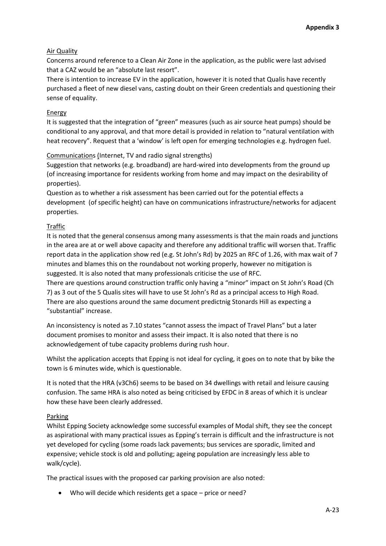# Air Quality

Concerns around reference to a Clean Air Zone in the application, as the public were last advised that a CAZ would be an "absolute last resort".

There is intention to increase EV in the application, however it is noted that Qualis have recently purchased a fleet of new diesel vans, casting doubt on their Green credentials and questioning their sense of equality.

## Energy

It is suggested that the integration of "green" measures (such as air source heat pumps) should be conditional to any approval, and that more detail is provided in relation to "natural ventilation with heat recovery". Request that a 'window' is left open for emerging technologies e.g. hydrogen fuel.

# Communications (Internet, TV and radio signal strengths)

Suggestion that networks (e.g. broadband) are hard-wired into developments from the ground up (of increasing importance for residents working from home and may impact on the desirability of properties).

Question as to whether a risk assessment has been carried out for the potential effects a development (of specific height) can have on communications infrastructure/networks for adjacent properties.

# Traffic

It is noted that the general consensus among many assessments is that the main roads and junctions in the area are at or well above capacity and therefore any additional traffic will worsen that. Traffic report data in the application show red (e.g. St John's Rd) by 2025 an RFC of 1.26, with max wait of 7 minutes and blames this on the roundabout not working properly, however no mitigation is suggested. It is also noted that many professionals criticise the use of RFC.

There are questions around construction traffic only having a "minor" impact on St John's Road (Ch 7) as 3 out of the 5 Qualis sites will have to use St John's Rd as a principal access to High Road. There are also questions around the same document predictnig Stonards Hill as expecting a "substantial" increase.

An inconsistency is noted as 7.10 states "cannot assess the impact of Travel Plans" but a later document promises to monitor and assess their impact. It is also noted that there is no acknowledgement of tube capacity problems during rush hour.

Whilst the application accepts that Epping is not ideal for cycling, it goes on to note that by bike the town is 6 minutes wide, which is questionable.

It is noted that the HRA (v3Ch6) seems to be based on 34 dwellings with retail and leisure causing confusion. The same HRA is also noted as being criticised by EFDC in 8 areas of which it is unclear how these have been clearly addressed.

## Parking

Whilst Epping Society acknowledge some successful examples of Modal shift, they see the concept as aspirational with many practical issues as Epping's terrain is difficult and the infrastructure is not yet developed for cycling (some roads lack pavements; bus services are sporadic, limited and expensive; vehicle stock is old and polluting; ageing population are increasingly less able to walk/cycle).

The practical issues with the proposed car parking provision are also noted:

Who will decide which residents get a space – price or need?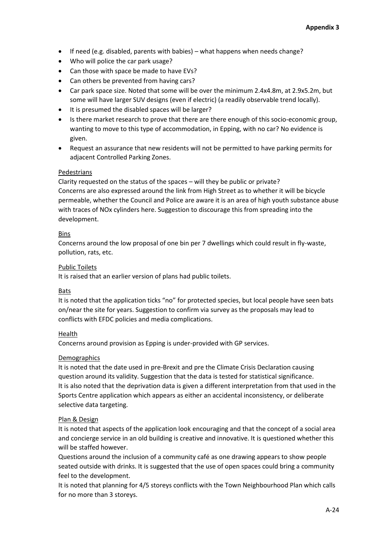- If need (e.g. disabled, parents with babies) what happens when needs change?
- Who will police the car park usage?
- Can those with space be made to have EVs?
- Can others be prevented from having cars?
- Car park space size. Noted that some will be over the minimum 2.4x4.8m, at 2.9x5.2m, but some will have larger SUV designs (even if electric) (a readily observable trend locally).
- It is presumed the disabled spaces will be larger?
- Is there market research to prove that there are there enough of this socio-economic group, wanting to move to this type of accommodation, in Epping, with no car? No evidence is given.
- Request an assurance that new residents will not be permitted to have parking permits for adjacent Controlled Parking Zones.

## Pedestrians

Clarity requested on the status of the spaces – will they be public or private? Concerns are also expressed around the link from High Street as to whether it will be bicycle permeable, whether the Council and Police are aware it is an area of high youth substance abuse with traces of NOx cylinders here. Suggestion to discourage this from spreading into the development.

## Bins

Concerns around the low proposal of one bin per 7 dwellings which could result in fly-waste, pollution, rats, etc.

### Public Toilets

It is raised that an earlier version of plans had public toilets.

## Bats

It is noted that the application ticks "no" for protected species, but local people have seen bats on/near the site for years. Suggestion to confirm via survey as the proposals may lead to conflicts with EFDC policies and media complications.

## Health

Concerns around provision as Epping is under-provided with GP services.

#### **Demographics**

It is noted that the date used in pre-Brexit and pre the Climate Crisis Declaration causing question around its validity. Suggestion that the data is tested for statistical significance. It is also noted that the deprivation data is given a different interpretation from that used in the Sports Centre application which appears as either an accidental inconsistency, or deliberate selective data targeting.

## Plan & Design

It is noted that aspects of the application look encouraging and that the concept of a social area and concierge service in an old building is creative and innovative. It is questioned whether this will be staffed however.

Questions around the inclusion of a community café as one drawing appears to show people seated outside with drinks. It is suggested that the use of open spaces could bring a community feel to the development.

It is noted that planning for 4/5 storeys conflicts with the Town Neighbourhood Plan which calls for no more than 3 storeys.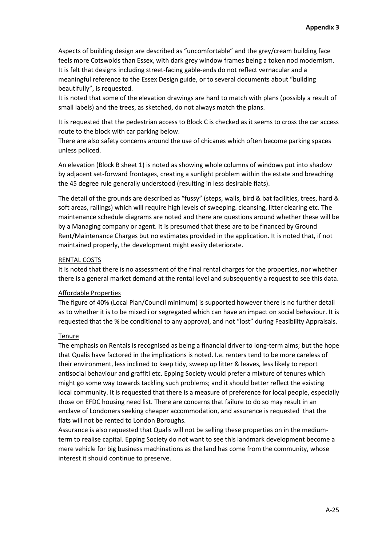Aspects of building design are described as "uncomfortable" and the grey/cream building face feels more Cotswolds than Essex, with dark grey window frames being a token nod modernism. It is felt that designs including street-facing gable-ends do not reflect vernacular and a meaningful reference to the Essex Design guide, or to several documents about "building beautifully", is requested.

It is noted that some of the elevation drawings are hard to match with plans (possibly a result of small labels) and the trees, as sketched, do not always match the plans.

It is requested that the pedestrian access to Block C is checked as it seems to cross the car access route to the block with car parking below.

There are also safety concerns around the use of chicanes which often become parking spaces unless policed.

An elevation (Block B sheet 1) is noted as showing whole columns of windows put into shadow by adjacent set-forward frontages, creating a sunlight problem within the estate and breaching the 45 degree rule generally understood (resulting in less desirable flats).

The detail of the grounds are described as "fussy" (steps, walls, bird & bat facilities, trees, hard & soft areas, railings) which will require high levels of sweeping. cleansing, litter clearing etc. The maintenance schedule diagrams are noted and there are questions around whether these will be by a Managing company or agent. It is presumed that these are to be financed by Ground Rent/Maintenance Charges but no estimates provided in the application. It is noted that, if not maintained properly, the development might easily deteriorate.

#### RENTAL COSTS

It is noted that there is no assessment of the final rental charges for the properties, nor whether there is a general market demand at the rental level and subsequently a request to see this data.

#### Affordable Properties

The figure of 40% (Local Plan/Council minimum) is supported however there is no further detail as to whether it is to be mixed i or segregated which can have an impact on social behaviour. It is requested that the % be conditional to any approval, and not "lost" during Feasibility Appraisals.

#### Tenure

The emphasis on Rentals is recognised as being a financial driver to long-term aims; but the hope that Qualis have factored in the implications is noted. I.e. renters tend to be more careless of their environment, less inclined to keep tidy, sweep up litter & leaves, less likely to report antisocial behaviour and graffiti etc. Epping Society would prefer a mixture of tenures which might go some way towards tackling such problems; and it should better reflect the existing local community. It is requested that there is a measure of preference for local people, especially those on EFDC housing need list. There are concerns that failure to do so may result in an enclave of Londoners seeking cheaper accommodation, and assurance is requested that the flats will not be rented to London Boroughs.

Assurance is also requested that Qualis will not be selling these properties on in the mediumterm to realise capital. Epping Society do not want to see this landmark development become a mere vehicle for big business machinations as the land has come from the community, whose interest it should continue to preserve.